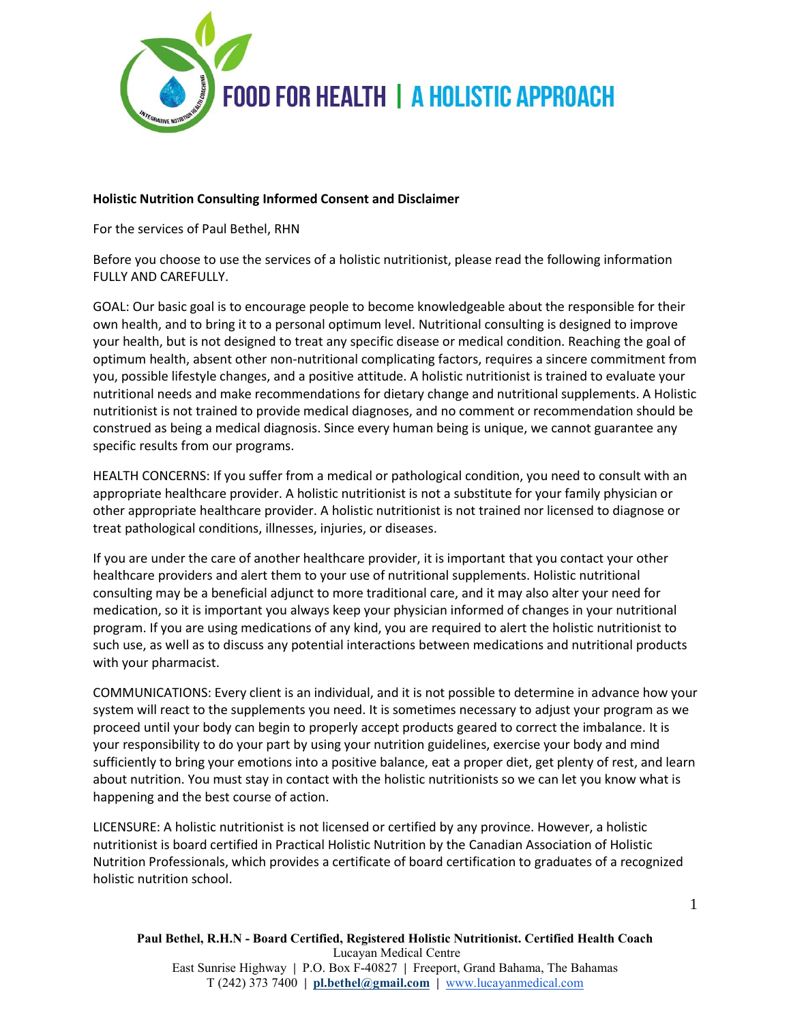

## **Holistic Nutrition Consulting Informed Consent and Disclaimer**

For the services of Paul Bethel, RHN

Before you choose to use the services of a holistic nutritionist, please read the following information FULLY AND CAREFULLY.

GOAL: Our basic goal is to encourage people to become knowledgeable about the responsible for their own health, and to bring it to a personal optimum level. Nutritional consulting is designed to improve your health, but is not designed to treat any specific disease or medical condition. Reaching the goal of optimum health, absent other non-nutritional complicating factors, requires a sincere commitment from you, possible lifestyle changes, and a positive attitude. A holistic nutritionist is trained to evaluate your nutritional needs and make recommendations for dietary change and nutritional supplements. A Holistic nutritionist is not trained to provide medical diagnoses, and no comment or recommendation should be construed as being a medical diagnosis. Since every human being is unique, we cannot guarantee any specific results from our programs.

HEALTH CONCERNS: If you suffer from a medical or pathological condition, you need to consult with an appropriate healthcare provider. A holistic nutritionist is not a substitute for your family physician or other appropriate healthcare provider. A holistic nutritionist is not trained nor licensed to diagnose or treat pathological conditions, illnesses, injuries, or diseases.

If you are under the care of another healthcare provider, it is important that you contact your other healthcare providers and alert them to your use of nutritional supplements. Holistic nutritional consulting may be a beneficial adjunct to more traditional care, and it may also alter your need for medication, so it is important you always keep your physician informed of changes in your nutritional program. If you are using medications of any kind, you are required to alert the holistic nutritionist to such use, as well as to discuss any potential interactions between medications and nutritional products with your pharmacist.

COMMUNICATIONS: Every client is an individual, and it is not possible to determine in advance how your system will react to the supplements you need. It is sometimes necessary to adjust your program as we proceed until your body can begin to properly accept products geared to correct the imbalance. It is your responsibility to do your part by using your nutrition guidelines, exercise your body and mind sufficiently to bring your emotions into a positive balance, eat a proper diet, get plenty of rest, and learn about nutrition. You must stay in contact with the holistic nutritionists so we can let you know what is happening and the best course of action.

LICENSURE: A holistic nutritionist is not licensed or certified by any province. However, a holistic nutritionist is board certified in Practical Holistic Nutrition by the Canadian Association of Holistic Nutrition Professionals, which provides a certificate of board certification to graduates of a recognized holistic nutrition school.